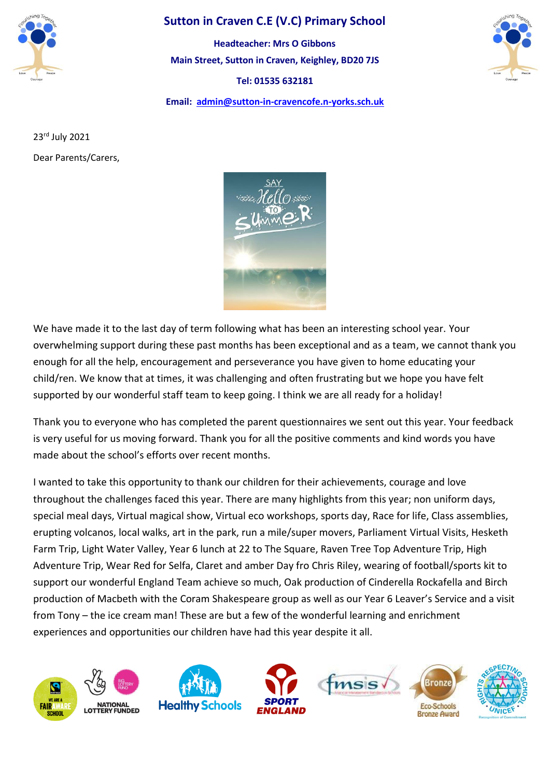

## **Sutton in Craven C.E (V.C) Primary School**

**Main Street, Sutton in Craven, Keighley, BD20 7JS Tel: 01535 632181 Email: [admin@sutton-in-cravencofe.n-yorks.sch.uk](mailto:admin@sutton-in-cravencofe.n-yorks.sch.uk) Headteacher: Mrs O Gibbons**



23rd July 2021 Dear Parents/Carers,



We have made it to the last day of term following what has been an interesting school year. Your overwhelming support during these past months has been exceptional and as a team, we cannot thank you enough for all the help, encouragement and perseverance you have given to home educating your child/ren. We know that at times, it was challenging and often frustrating but we hope you have felt supported by our wonderful staff team to keep going. I think we are all ready for a holiday!

Thank you to everyone who has completed the parent questionnaires we sent out this year. Your feedback is very useful for us moving forward. Thank you for all the positive comments and kind words you have made about the school's efforts over recent months.

I wanted to take this opportunity to thank our children for their achievements, courage and love throughout the challenges faced this year. There are many highlights from this year; non uniform days, special meal days, Virtual magical show, Virtual eco workshops, sports day, Race for life, Class assemblies, erupting volcanos, local walks, art in the park, run a mile/super movers, Parliament Virtual Visits, Hesketh Farm Trip, Light Water Valley, Year 6 lunch at 22 to The Square, Raven Tree Top Adventure Trip, High Adventure Trip, Wear Red for Selfa, Claret and amber Day fro Chris Riley, wearing of football/sports kit to support our wonderful England Team achieve so much, Oak production of Cinderella Rockafella and Birch production of Macbeth with the Coram Shakespeare group as well as our Year 6 Leaver's Service and a visit from Tony – the ice cream man! These are but a few of the wonderful learning and enrichment experiences and opportunities our children have had this year despite it all.